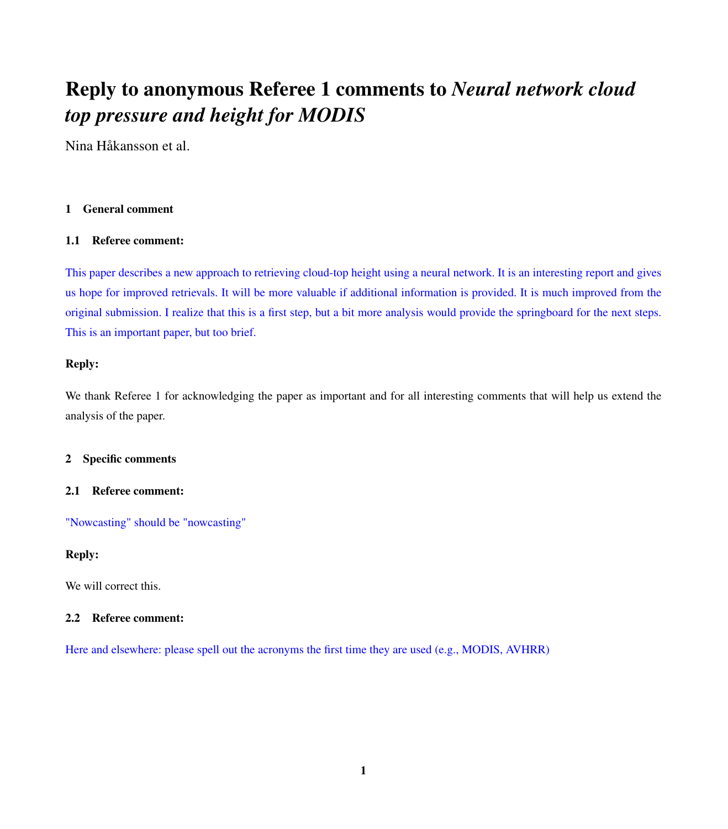# Reply to anonymous Referee 1 comments to *Neural network cloud top pressure and height for MODIS*

Nina Håkansson et al.

# 1 General comment

# 1.1 Referee comment:

This paper describes a new approach to retrieving cloud-top height using a neural network. It is an interesting report and gives us hope for improved retrievals. It will be more valuable if additional information is provided. It is much improved from the original submission. I realize that this is a first step, but a bit more analysis would provide the springboard for the next steps. This is an important paper, but too brief.

# Reply:

We thank Referee 1 for acknowledging the paper as important and for all interesting comments that will help us extend the analysis of the paper.

## 2 Specific comments

## 2.1 Referee comment:

"Nowcasting" should be "nowcasting"

# Reply:

We will correct this.

## 2.2 Referee comment:

Here and elsewhere: please spell out the acronyms the first time they are used (e.g., MODIS, AVHRR)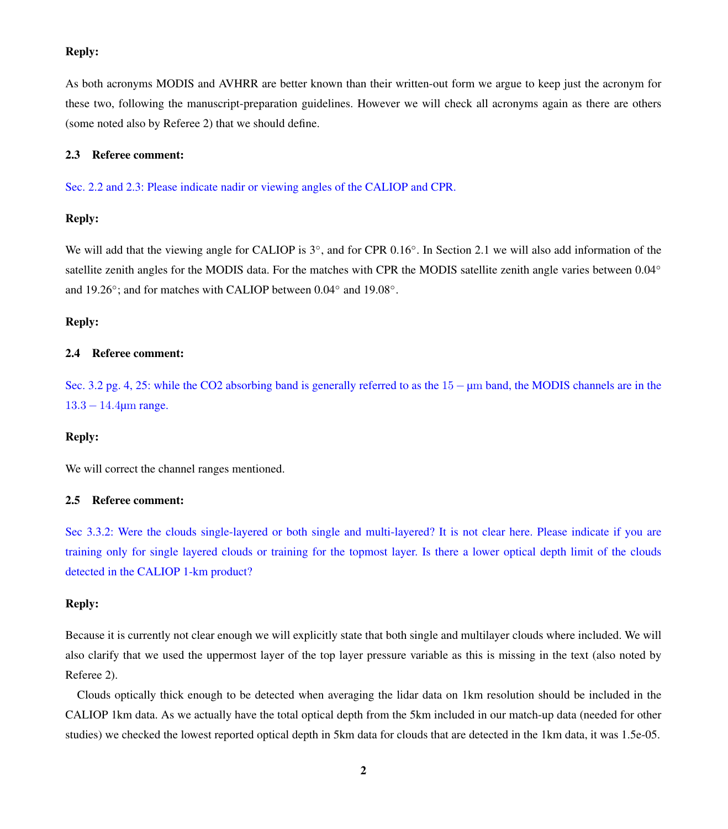## Reply:

As both acronyms MODIS and AVHRR are better known than their written-out form we argue to keep just the acronym for these two, following the manuscript-preparation guidelines. However we will check all acronyms again as there are others (some noted also by Referee 2) that we should define.

#### 2.3 Referee comment:

Sec. 2.2 and 2.3: Please indicate nadir or viewing angles of the CALIOP and CPR.

#### Reply:

We will add that the viewing angle for CALIOP is 3°, and for CPR 0.16°. In Section 2.1 we will also add information of the satellite zenith angles for the MODIS data. For the matches with CPR the MODIS satellite zenith angle varies between 0.04° and 19.26°; and for matches with CALIOP between 0.04° and 19.08°.

#### Reply:

## 2.4 Referee comment:

Sec. 3.2 pg. 4, 25: while the CO2 absorbing band is generally referred to as the 15 − µm band, the MODIS channels are in the 13.3 − 14.4µm range.

#### Reply:

We will correct the channel ranges mentioned.

#### 2.5 Referee comment:

Sec 3.3.2: Were the clouds single-layered or both single and multi-layered? It is not clear here. Please indicate if you are training only for single layered clouds or training for the topmost layer. Is there a lower optical depth limit of the clouds detected in the CALIOP 1-km product?

#### Reply:

Because it is currently not clear enough we will explicitly state that both single and multilayer clouds where included. We will also clarify that we used the uppermost layer of the top layer pressure variable as this is missing in the text (also noted by Referee 2).

Clouds optically thick enough to be detected when averaging the lidar data on 1km resolution should be included in the CALIOP 1km data. As we actually have the total optical depth from the 5km included in our match-up data (needed for other studies) we checked the lowest reported optical depth in 5km data for clouds that are detected in the 1km data, it was 1.5e-05.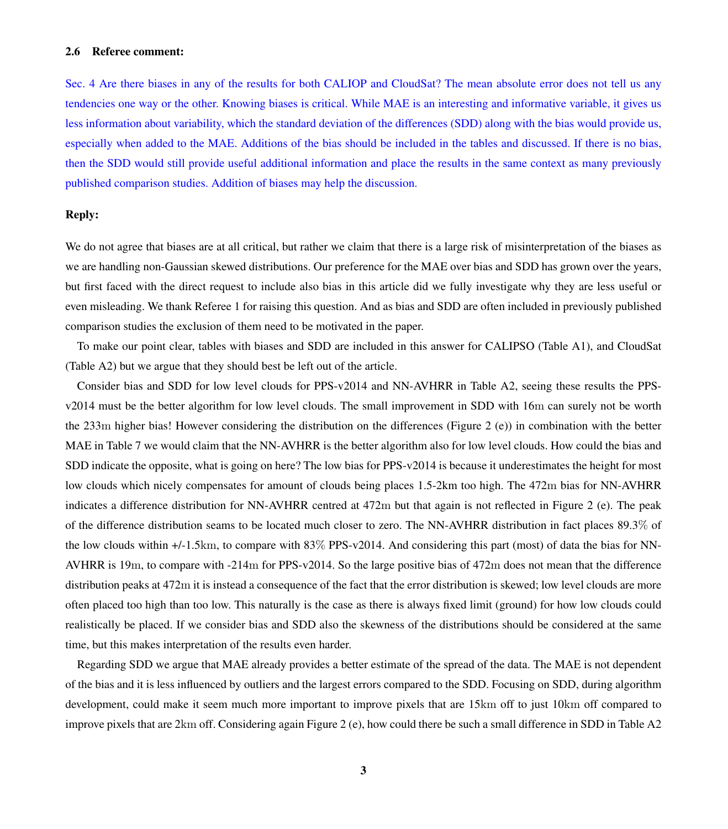#### 2.6 Referee comment:

Sec. 4 Are there biases in any of the results for both CALIOP and CloudSat? The mean absolute error does not tell us any tendencies one way or the other. Knowing biases is critical. While MAE is an interesting and informative variable, it gives us less information about variability, which the standard deviation of the differences (SDD) along with the bias would provide us, especially when added to the MAE. Additions of the bias should be included in the tables and discussed. If there is no bias, then the SDD would still provide useful additional information and place the results in the same context as many previously published comparison studies. Addition of biases may help the discussion.

#### Reply:

We do not agree that biases are at all critical, but rather we claim that there is a large risk of misinterpretation of the biases as we are handling non-Gaussian skewed distributions. Our preference for the MAE over bias and SDD has grown over the years, but first faced with the direct request to include also bias in this article did we fully investigate why they are less useful or even misleading. We thank Referee 1 for raising this question. And as bias and SDD are often included in previously published comparison studies the exclusion of them need to be motivated in the paper.

To make our point clear, tables with biases and SDD are included in this answer for CALIPSO (Table [A1\)](#page-7-0), and CloudSat (Table [A2\)](#page-8-0) but we argue that they should best be left out of the article.

Consider bias and SDD for low level clouds for PPS-v2014 and NN-AVHRR in Table [A2,](#page-8-0) seeing these results the PPSv2014 must be the better algorithm for low level clouds. The small improvement in SDD with 16m can surely not be worth the 233m higher bias! However considering the distribution on the differences (Figure 2 (e)) in combination with the better MAE in Table 7 we would claim that the NN-AVHRR is the better algorithm also for low level clouds. How could the bias and SDD indicate the opposite, what is going on here? The low bias for PPS-v2014 is because it underestimates the height for most low clouds which nicely compensates for amount of clouds being places 1.5-2km too high. The 472m bias for NN-AVHRR indicates a difference distribution for NN-AVHRR centred at 472m but that again is not reflected in Figure 2 (e). The peak of the difference distribution seams to be located much closer to zero. The NN-AVHRR distribution in fact places 89.3% of the low clouds within +/-1.5km, to compare with 83% PPS-v2014. And considering this part (most) of data the bias for NN-AVHRR is 19m, to compare with -214m for PPS-v2014. So the large positive bias of 472m does not mean that the difference distribution peaks at 472m it is instead a consequence of the fact that the error distribution is skewed; low level clouds are more often placed too high than too low. This naturally is the case as there is always fixed limit (ground) for how low clouds could realistically be placed. If we consider bias and SDD also the skewness of the distributions should be considered at the same time, but this makes interpretation of the results even harder.

Regarding SDD we argue that MAE already provides a better estimate of the spread of the data. The MAE is not dependent of the bias and it is less influenced by outliers and the largest errors compared to the SDD. Focusing on SDD, during algorithm development, could make it seem much more important to improve pixels that are 15km off to just 10km off compared to improve pixels that are 2km off. Considering again Figure 2 (e), how could there be such a small difference in SDD in Table [A2](#page-8-0)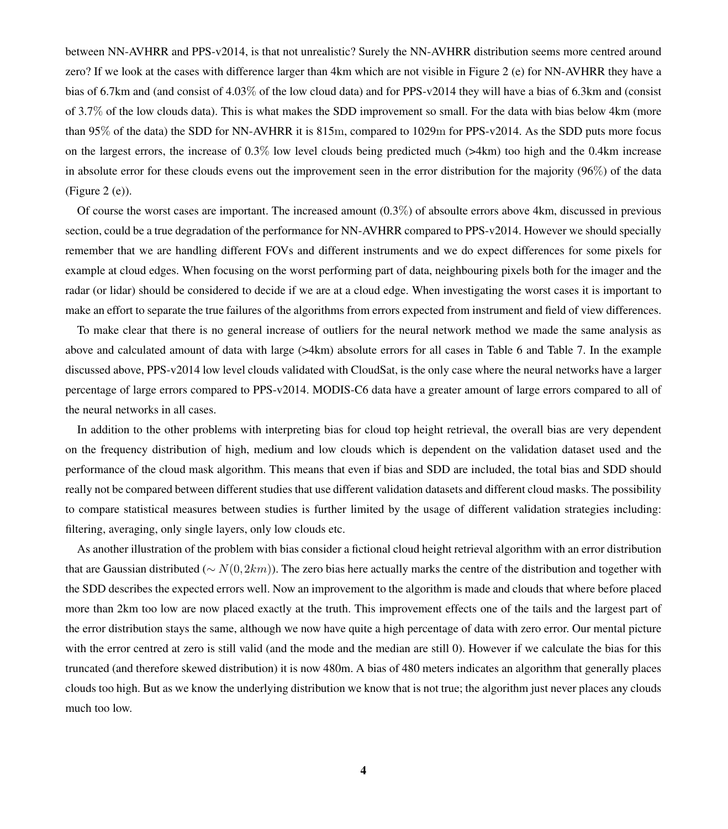between NN-AVHRR and PPS-v2014, is that not unrealistic? Surely the NN-AVHRR distribution seems more centred around zero? If we look at the cases with difference larger than 4km which are not visible in Figure 2 (e) for NN-AVHRR they have a bias of 6.7km and (and consist of 4.03% of the low cloud data) and for PPS-v2014 they will have a bias of 6.3km and (consist of 3.7% of the low clouds data). This is what makes the SDD improvement so small. For the data with bias below 4km (more than 95% of the data) the SDD for NN-AVHRR it is 815m, compared to 1029m for PPS-v2014. As the SDD puts more focus on the largest errors, the increase of  $0.3\%$  low level clouds being predicted much ( $>4km$ ) too high and the 0.4km increase in absolute error for these clouds evens out the improvement seen in the error distribution for the majority (96%) of the data  $(Figure 2 (e)).$ 

Of course the worst cases are important. The increased amount  $(0.3\%)$  of absoulte errors above 4km, discussed in previous section, could be a true degradation of the performance for NN-AVHRR compared to PPS-v2014. However we should specially remember that we are handling different FOVs and different instruments and we do expect differences for some pixels for example at cloud edges. When focusing on the worst performing part of data, neighbouring pixels both for the imager and the radar (or lidar) should be considered to decide if we are at a cloud edge. When investigating the worst cases it is important to make an effort to separate the true failures of the algorithms from errors expected from instrument and field of view differences.

To make clear that there is no general increase of outliers for the neural network method we made the same analysis as above and calculated amount of data with large (>4km) absolute errors for all cases in Table 6 and Table 7. In the example discussed above, PPS-v2014 low level clouds validated with CloudSat, is the only case where the neural networks have a larger percentage of large errors compared to PPS-v2014. MODIS-C6 data have a greater amount of large errors compared to all of the neural networks in all cases.

In addition to the other problems with interpreting bias for cloud top height retrieval, the overall bias are very dependent on the frequency distribution of high, medium and low clouds which is dependent on the validation dataset used and the performance of the cloud mask algorithm. This means that even if bias and SDD are included, the total bias and SDD should really not be compared between different studies that use different validation datasets and different cloud masks. The possibility to compare statistical measures between studies is further limited by the usage of different validation strategies including: filtering, averaging, only single layers, only low clouds etc.

As another illustration of the problem with bias consider a fictional cloud height retrieval algorithm with an error distribution that are Gaussian distributed ( $∼ N(0,2km)$ ). The zero bias here actually marks the centre of the distribution and together with the SDD describes the expected errors well. Now an improvement to the algorithm is made and clouds that where before placed more than 2km too low are now placed exactly at the truth. This improvement effects one of the tails and the largest part of the error distribution stays the same, although we now have quite a high percentage of data with zero error. Our mental picture with the error centred at zero is still valid (and the mode and the median are still 0). However if we calculate the bias for this truncated (and therefore skewed distribution) it is now 480m. A bias of 480 meters indicates an algorithm that generally places clouds too high. But as we know the underlying distribution we know that is not true; the algorithm just never places any clouds much too low.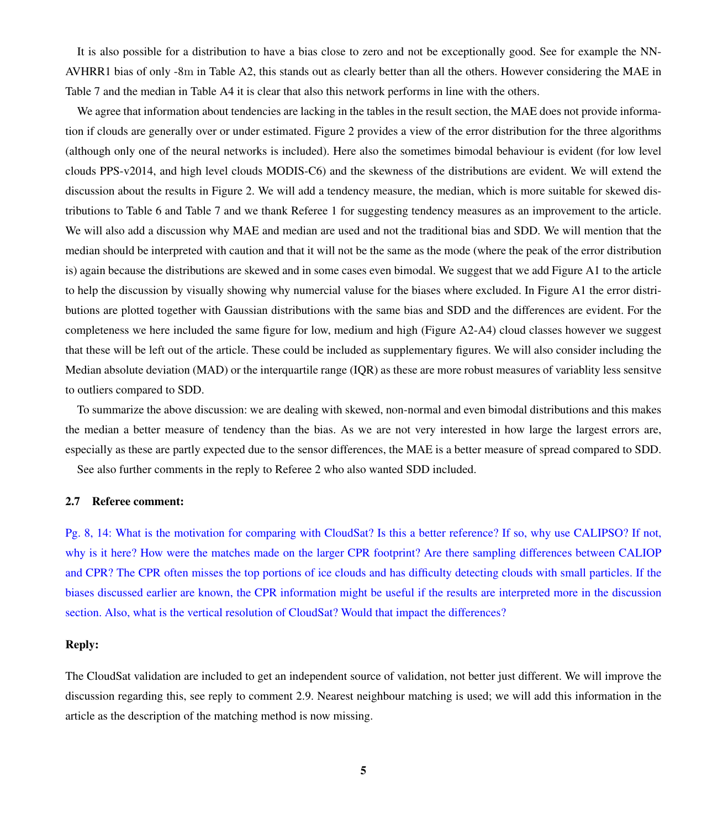It is also possible for a distribution to have a bias close to zero and not be exceptionally good. See for example the NN-AVHRR1 bias of only -8m in Table [A2,](#page-8-0) this stands out as clearly better than all the others. However considering the MAE in Table 7 and the median in Table [A4](#page-10-0) it is clear that also this network performs in line with the others.

We agree that information about tendencies are lacking in the tables in the result section, the MAE does not provide information if clouds are generally over or under estimated. Figure 2 provides a view of the error distribution for the three algorithms (although only one of the neural networks is included). Here also the sometimes bimodal behaviour is evident (for low level clouds PPS-v2014, and high level clouds MODIS-C6) and the skewness of the distributions are evident. We will extend the discussion about the results in Figure 2. We will add a tendency measure, the median, which is more suitable for skewed distributions to Table 6 and Table 7 and we thank Referee 1 for suggesting tendency measures as an improvement to the article. We will also add a discussion why MAE and median are used and not the traditional bias and SDD. We will mention that the median should be interpreted with caution and that it will not be the same as the mode (where the peak of the error distribution is) again because the distributions are skewed and in some cases even bimodal. We suggest that we add Figure [A1](#page-11-0) to the article to help the discussion by visually showing why numercial valuse for the biases where excluded. In Figure [A1](#page-11-0) the error distributions are plotted together with Gaussian distributions with the same bias and SDD and the differences are evident. For the completeness we here included the same figure for low, medium and high (Figure [A2-](#page-12-0)[A4\)](#page-14-0) cloud classes however we suggest that these will be left out of the article. These could be included as supplementary figures. We will also consider including the Median absolute deviation (MAD) or the interquartile range (IQR) as these are more robust measures of variablity less sensitve to outliers compared to SDD.

To summarize the above discussion: we are dealing with skewed, non-normal and even bimodal distributions and this makes the median a better measure of tendency than the bias. As we are not very interested in how large the largest errors are, especially as these are partly expected due to the sensor differences, the MAE is a better measure of spread compared to SDD.

See also further comments in the reply to Referee 2 who also wanted SDD included.

#### 2.7 Referee comment:

Pg. 8, 14: What is the motivation for comparing with CloudSat? Is this a better reference? If so, why use CALIPSO? If not, why is it here? How were the matches made on the larger CPR footprint? Are there sampling differences between CALIOP and CPR? The CPR often misses the top portions of ice clouds and has difficulty detecting clouds with small particles. If the biases discussed earlier are known, the CPR information might be useful if the results are interpreted more in the discussion section. Also, what is the vertical resolution of CloudSat? Would that impact the differences?

### Reply:

The CloudSat validation are included to get an independent source of validation, not better just different. We will improve the discussion regarding this, see reply to comment 2.9. Nearest neighbour matching is used; we will add this information in the article as the description of the matching method is now missing.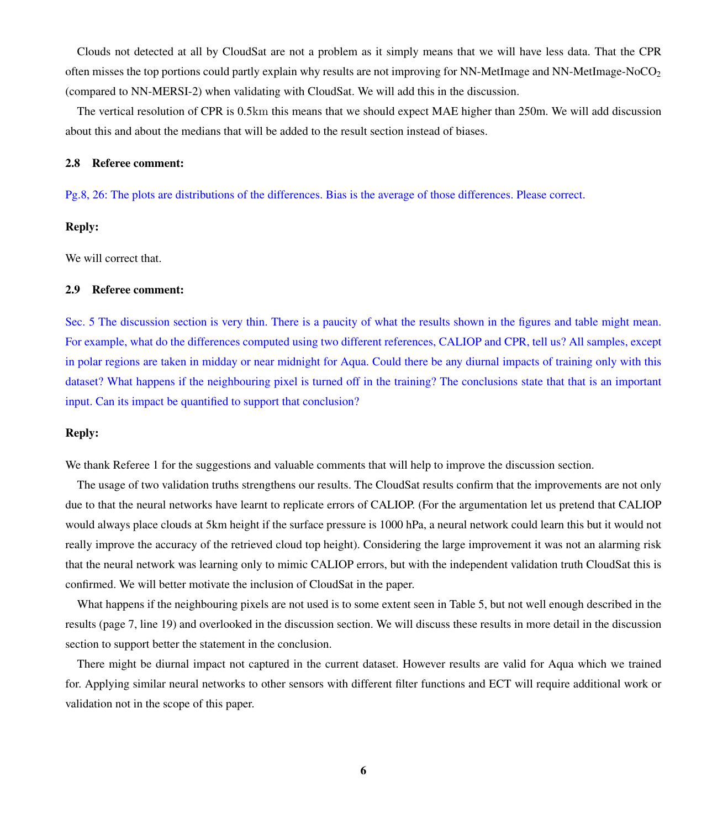Clouds not detected at all by CloudSat are not a problem as it simply means that we will have less data. That the CPR often misses the top portions could partly explain why results are not improving for NN-MetImage and NN-MetImage-NoCO<sub>2</sub> (compared to NN-MERSI-2) when validating with CloudSat. We will add this in the discussion.

The vertical resolution of CPR is 0.5km this means that we should expect MAE higher than 250m. We will add discussion about this and about the medians that will be added to the result section instead of biases.

#### 2.8 Referee comment:

Pg.8, 26: The plots are distributions of the differences. Bias is the average of those differences. Please correct.

#### Reply:

We will correct that.

#### 2.9 Referee comment:

Sec. 5 The discussion section is very thin. There is a paucity of what the results shown in the figures and table might mean. For example, what do the differences computed using two different references, CALIOP and CPR, tell us? All samples, except in polar regions are taken in midday or near midnight for Aqua. Could there be any diurnal impacts of training only with this dataset? What happens if the neighbouring pixel is turned off in the training? The conclusions state that that is an important input. Can its impact be quantified to support that conclusion?

## Reply:

We thank Referee 1 for the suggestions and valuable comments that will help to improve the discussion section.

The usage of two validation truths strengthens our results. The CloudSat results confirm that the improvements are not only due to that the neural networks have learnt to replicate errors of CALIOP. (For the argumentation let us pretend that CALIOP would always place clouds at 5km height if the surface pressure is 1000 hPa, a neural network could learn this but it would not really improve the accuracy of the retrieved cloud top height). Considering the large improvement it was not an alarming risk that the neural network was learning only to mimic CALIOP errors, but with the independent validation truth CloudSat this is confirmed. We will better motivate the inclusion of CloudSat in the paper.

What happens if the neighbouring pixels are not used is to some extent seen in Table 5, but not well enough described in the results (page 7, line 19) and overlooked in the discussion section. We will discuss these results in more detail in the discussion section to support better the statement in the conclusion.

There might be diurnal impact not captured in the current dataset. However results are valid for Aqua which we trained for. Applying similar neural networks to other sensors with different filter functions and ECT will require additional work or validation not in the scope of this paper.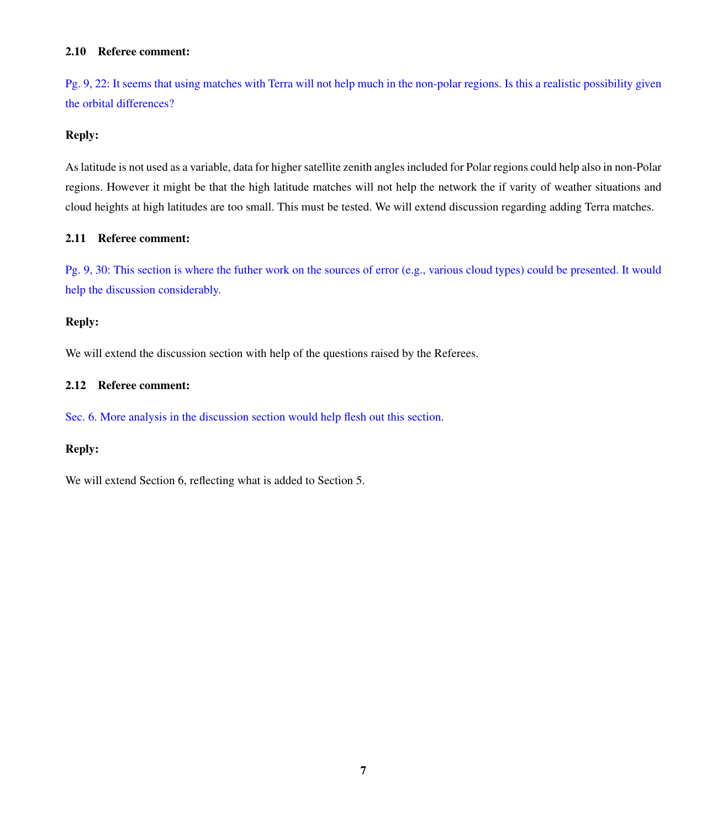## 2.10 Referee comment:

Pg. 9, 22: It seems that using matches with Terra will not help much in the non-polar regions. Is this a realistic possibility given the orbital differences?

## Reply:

As latitude is not used as a variable, data for higher satellite zenith angles included for Polar regions could help also in non-Polar regions. However it might be that the high latitude matches will not help the network the if varity of weather situations and cloud heights at high latitudes are too small. This must be tested. We will extend discussion regarding adding Terra matches.

## 2.11 Referee comment:

Pg. 9, 30: This section is where the futher work on the sources of error (e.g., various cloud types) could be presented. It would help the discussion considerably.

## Reply:

We will extend the discussion section with help of the questions raised by the Referees.

## 2.12 Referee comment:

Sec. 6. More analysis in the discussion section would help flesh out this section.

## Reply:

We will extend Section 6, reflecting what is added to Section 5.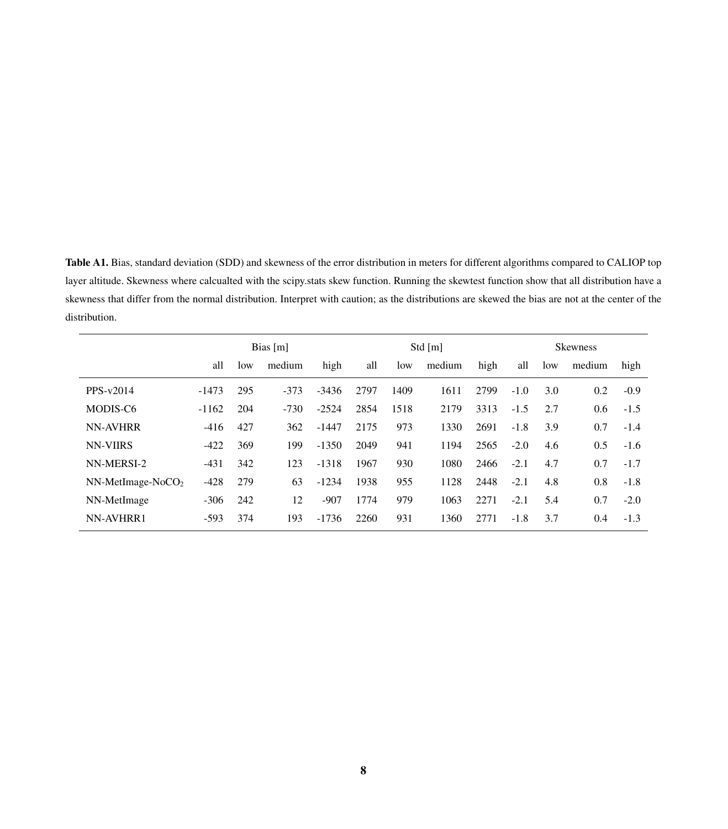<span id="page-7-0"></span>Table A1. Bias, standard deviation (SDD) and skewness of the error distribution in meters for different algorithms compared to CALIOP top layer altitude. Skewness where calcualted with the scipy.stats skew function. Running the skewtest function show that all distribution have a skewness that differ from the normal distribution. Interpret with caution; as the distributions are skewed the bias are not at the center of the distribution.

|                     | Bias $[m]$ |     |        | Std $[m]$ |      |      |        | <b>Skewness</b> |        |     |        |        |
|---------------------|------------|-----|--------|-----------|------|------|--------|-----------------|--------|-----|--------|--------|
|                     | all        | low | medium | high      | all  | low  | medium | high            | all    | low | medium | high   |
| PPS-v2014           | $-1473$    | 295 | $-373$ | $-3436$   | 2797 | 1409 | 1611   | 2799            | $-1.0$ | 3.0 | 0.2    | $-0.9$ |
| MODIS-C6            | $-1162$    | 204 | $-730$ | $-2524$   | 2854 | 1518 | 2179   | 3313            | $-1.5$ | 2.7 | 0.6    | $-1.5$ |
| <b>NN-AVHRR</b>     | $-416$     | 427 | 362    | $-1447$   | 2175 | 973  | 1330   | 2691            | $-1.8$ | 3.9 | 0.7    | $-1.4$ |
| <b>NN-VIIRS</b>     | $-422$     | 369 | 199    | $-1350$   | 2049 | 941  | 1194   | 2565            | $-2.0$ | 4.6 | 0.5    | $-1.6$ |
| NN-MERSI-2          | $-431$     | 342 | 123    | $-1318$   | 1967 | 930  | 1080   | 2466            | $-2.1$ | 4.7 | 0.7    | $-1.7$ |
| $NN-MetImage-NoCO2$ | $-428$     | 279 | 63     | $-1234$   | 1938 | 955  | 1128   | 2448            | $-2.1$ | 4.8 | 0.8    | $-1.8$ |
| NN-MetImage         | $-306$     | 242 | 12     | $-907$    | 1774 | 979  | 1063   | 2271            | $-2.1$ | 5.4 | 0.7    | $-2.0$ |
| NN-AVHRR1           | $-593$     | 374 | 193    | $-1736$   | 2260 | 931  | 1360   | 2771            | $-1.8$ | 3.7 | 0.4    | $-1.3$ |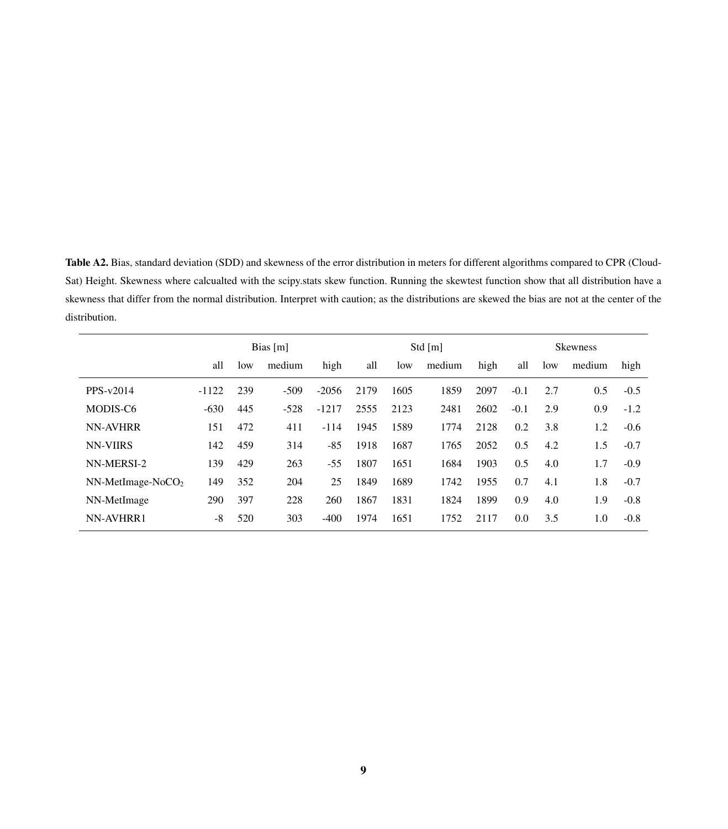<span id="page-8-0"></span>Table A2. Bias, standard deviation (SDD) and skewness of the error distribution in meters for different algorithms compared to CPR (Cloud-Sat) Height. Skewness where calcualted with the scipy.stats skew function. Running the skewtest function show that all distribution have a skewness that differ from the normal distribution. Interpret with caution; as the distributions are skewed the bias are not at the center of the distribution.

|                     | Bias $[m]$ |     |        | Std $[m]$ |      |      |        | <b>Skewness</b> |        |     |        |        |
|---------------------|------------|-----|--------|-----------|------|------|--------|-----------------|--------|-----|--------|--------|
|                     | all        | low | medium | high      | all  | low  | medium | high            | all    | low | medium | high   |
| PPS-v2014           | $-1122$    | 239 | $-509$ | $-2056$   | 2179 | 1605 | 1859   | 2097            | $-0.1$ | 2.7 | 0.5    | $-0.5$ |
| MODIS-C6            | $-630$     | 445 | $-528$ | $-1217$   | 2555 | 2123 | 2481   | 2602            | $-0.1$ | 2.9 | 0.9    | $-1.2$ |
| <b>NN-AVHRR</b>     | 151        | 472 | 411    | $-114$    | 1945 | 1589 | 1774   | 2128            | 0.2    | 3.8 | 1.2    | $-0.6$ |
| <b>NN-VIIRS</b>     | 142        | 459 | 314    | -85       | 1918 | 1687 | 1765   | 2052            | 0.5    | 4.2 | 1.5    | $-0.7$ |
| NN-MERSI-2          | 139        | 429 | 263    | -55       | 1807 | 1651 | 1684   | 1903            | 0.5    | 4.0 | 1.7    | $-0.9$ |
| $NN-MetImage-NoCO2$ | 149        | 352 | 204    | 25        | 1849 | 1689 | 1742   | 1955            | 0.7    | 4.1 | 1.8    | $-0.7$ |
| NN-MetImage         | 290        | 397 | 228    | 260       | 1867 | 1831 | 1824   | 1899            | 0.9    | 4.0 | 1.9    | $-0.8$ |
| NN-AVHRR1           | -8         | 520 | 303    | $-400$    | 1974 | 1651 | 1752   | 2117            | 0.0    | 3.5 | 1.0    | $-0.8$ |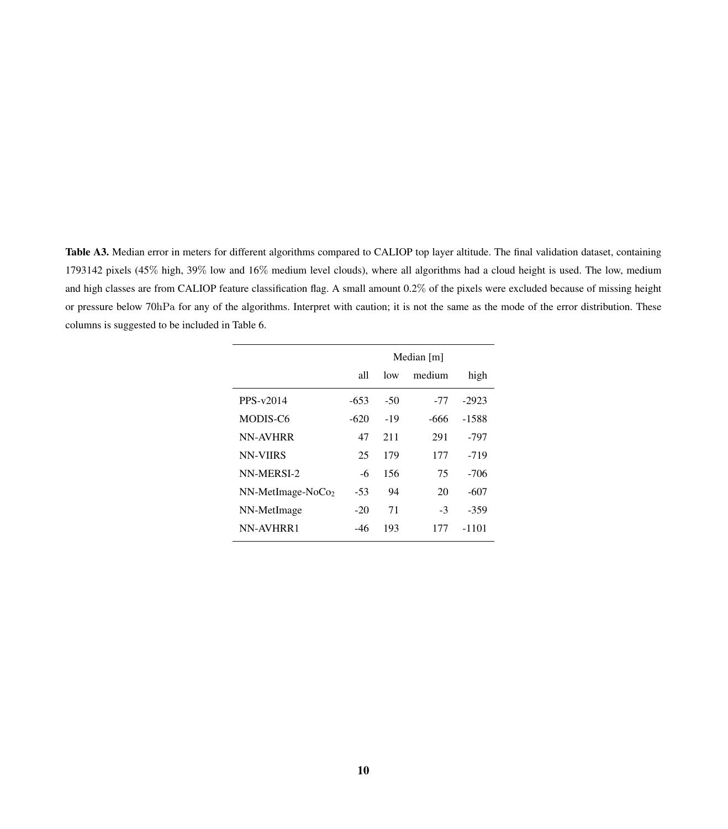Table A3. Median error in meters for different algorithms compared to CALIOP top layer altitude. The final validation dataset, containing 1793142 pixels (45% high, 39% low and 16% medium level clouds), where all algorithms had a cloud height is used. The low, medium and high classes are from CALIOP feature classification flag. A small amount 0.2% of the pixels were excluded because of missing height or pressure below 70hPa for any of the algorithms. Interpret with caution; it is not the same as the mode of the error distribution. These columns is suggested to be included in Table 6.

|                               | Median [m] |       |        |         |  |  |  |
|-------------------------------|------------|-------|--------|---------|--|--|--|
|                               | all        | low   | medium | high    |  |  |  |
| $PPS-v2014$                   | $-653$     | $-50$ | -77    | $-2923$ |  |  |  |
| MODIS-C6                      | -620       | $-19$ | -666   | -1588   |  |  |  |
| <b>NN-AVHRR</b>               | 47         | 211   | 291    | -797    |  |  |  |
| <b>NN-VIIRS</b>               | 25         | 179   | 177    | $-719$  |  |  |  |
| NN-MERSI-2                    | -6         | 156   | 75     | $-706$  |  |  |  |
| NN-MetImage-NoCo <sub>2</sub> | -53        | 94    | 20     | -607    |  |  |  |
| NN-MetImage                   | $-20$      | 71    | -3     | -359    |  |  |  |
| NN-AVHRR1                     | -46        | 193   | 177    | -1101   |  |  |  |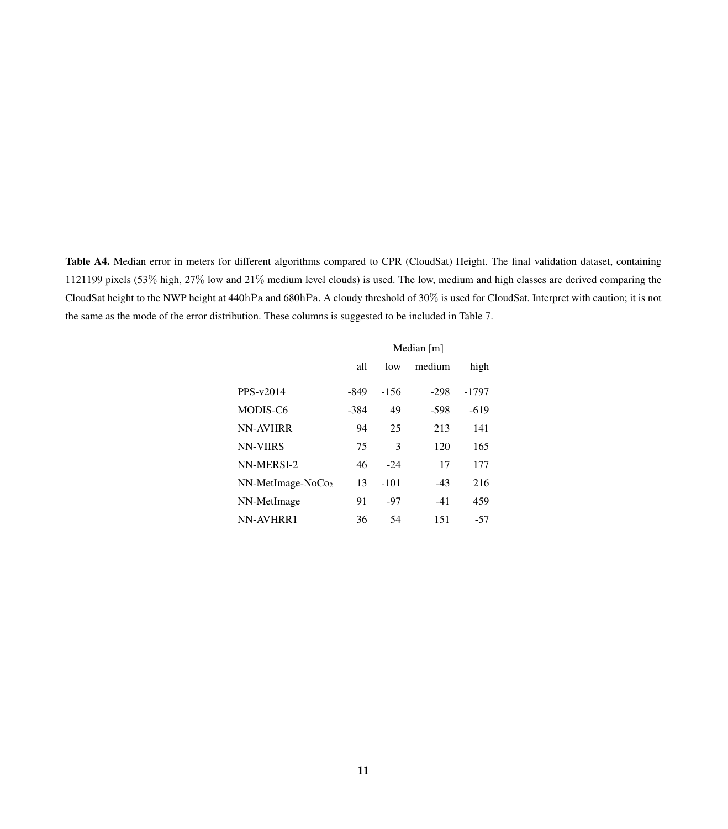<span id="page-10-0"></span>Table A4. Median error in meters for different algorithms compared to CPR (CloudSat) Height. The final validation dataset, containing 1121199 pixels (53% high, 27% low and 21% medium level clouds) is used. The low, medium and high classes are derived comparing the CloudSat height to the NWP height at 440hPa and 680hPa. A cloudy threshold of 30% is used for CloudSat. Interpret with caution; it is not the same as the mode of the error distribution. These columns is suggested to be included in Table 7.

|                               | Median [m] |               |        |        |  |  |  |  |
|-------------------------------|------------|---------------|--------|--------|--|--|--|--|
|                               | all        | low           | medium | high   |  |  |  |  |
| PPS-v2014                     | -849       | -156          | $-298$ | -1797  |  |  |  |  |
| MODIS-C6                      | -384       | 49            | -598   | $-619$ |  |  |  |  |
| <b>NN-AVHRR</b>               | 94         | 25            | 213    | 141    |  |  |  |  |
| <b>NN-VIIRS</b>               | 75         | $\mathcal{F}$ | 120    | 165    |  |  |  |  |
| NN-MERSI-2                    | 46         | $-2.4$        | 17     | 177    |  |  |  |  |
| NN-MetImage-NoCo <sub>2</sub> | 13         | $-101$        | $-43$  | 216    |  |  |  |  |
| NN-MetImage                   | 91         | -97           | $-41$  | 459    |  |  |  |  |
| NN-AVHRR1                     | 36         | 54            | 151    | -57    |  |  |  |  |

 $\overline{a}$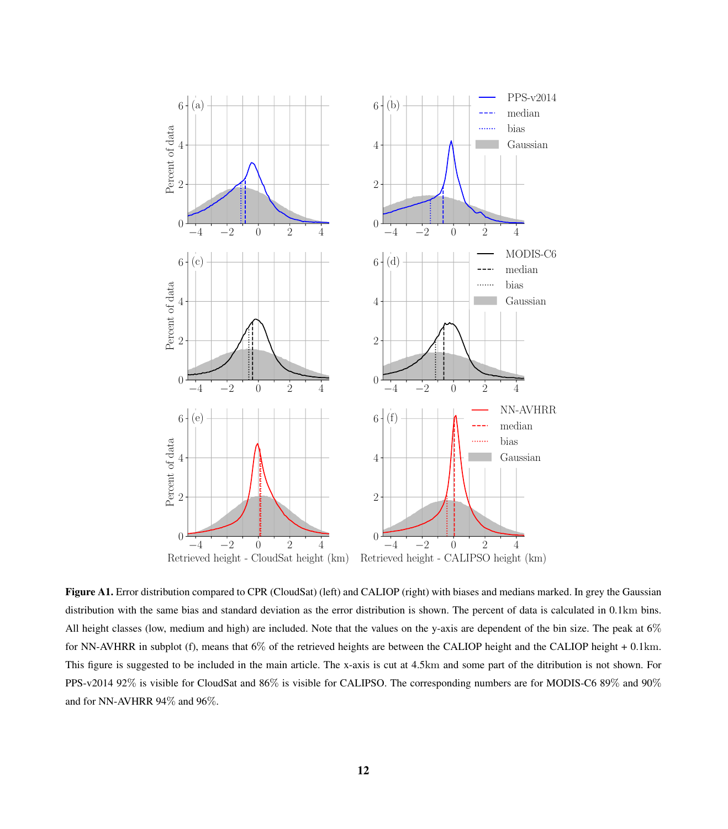<span id="page-11-0"></span>

Figure A1. Error distribution compared to CPR (CloudSat) (left) and CALIOP (right) with biases and medians marked. In grey the Gaussian distribution with the same bias and standard deviation as the error distribution is shown. The percent of data is calculated in 0.1km bins. All height classes (low, medium and high) are included. Note that the values on the y-axis are dependent of the bin size. The peak at 6% for NN-AVHRR in subplot (f), means that 6% of the retrieved heights are between the CALIOP height and the CALIOP height + 0.1km. This figure is suggested to be included in the main article. The x-axis is cut at 4.5km and some part of the ditribution is not shown. For PPS-v2014 92% is visible for CloudSat and 86% is visible for CALIPSO. The corresponding numbers are for MODIS-C6 89% and 90% and for NN-AVHRR 94% and 96%.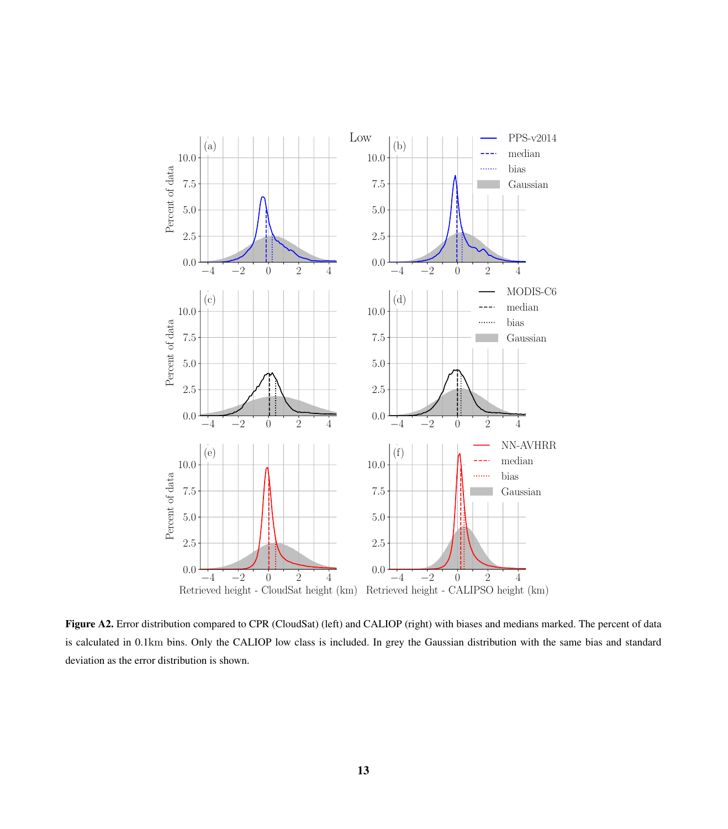<span id="page-12-0"></span>

Figure A2. Error distribution compared to CPR (CloudSat) (left) and CALIOP (right) with biases and medians marked. The percent of data is calculated in 0.1km bins. Only the CALIOP low class is included. In grey the Gaussian distribution with the same bias and standard deviation as the error distribution is shown.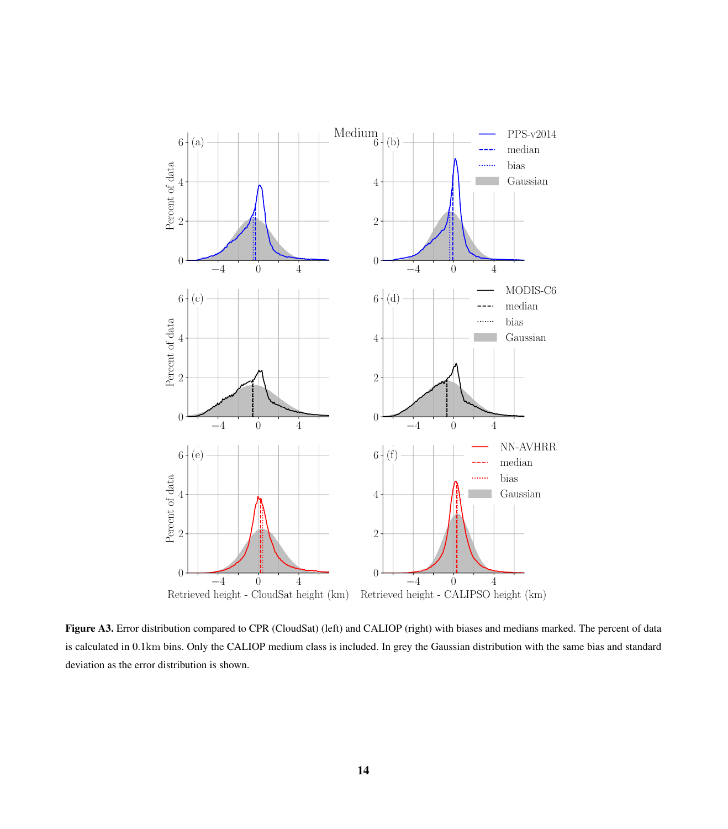

Figure A3. Error distribution compared to CPR (CloudSat) (left) and CALIOP (right) with biases and medians marked. The percent of data is calculated in 0.1km bins. Only the CALIOP medium class is included. In grey the Gaussian distribution with the same bias and standard deviation as the error distribution is shown.